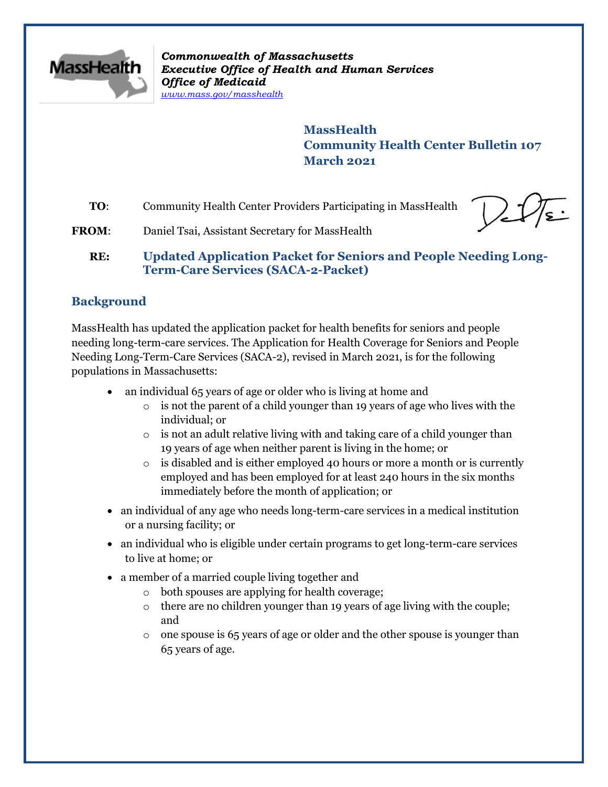

*Commonwealth of Massachusetts Executive Office of Health and Human Services Office of Medicaid [www.mass.gov/masshealth](http://www.mass.gov/masshealth)*

> **MassHealth Community Health Center Bulletin 107 March 2021**

**TO**: Community Health Center Providers Participating in MassHealth

FROM: Daniel Tsai, Assistant Secretary for MassHealth

**RE: Updated Application Packet for Seniors and People Needing Long-Term-Care Services (SACA-2-Packet)**

# **Background**

MassHealth has updated the application packet for health benefits for seniors and people needing long-term-care services. The Application for Health Coverage for Seniors and People Needing Long-Term-Care Services (SACA-2), revised in March 2021, is for the following populations in Massachusetts:

- an individual 65 years of age or older who is living at home and
	- $\circ$  is not the parent of a child younger than 19 years of age who lives with the individual; or
	- o is not an adult relative living with and taking care of a child younger than 19 years of age when neither parent is living in the home; or
	- $\circ$  is disabled and is either employed 40 hours or more a month or is currently employed and has been employed for at least 240 hours in the six months immediately before the month of application; or
- an individual of any age who needs long-term-care services in a medical institution or a nursing facility; or
- an individual who is eligible under certain programs to get long-term-care services to live at home; or
- a member of a married couple living together and
	- o both spouses are applying for health coverage;
	- $\circ$  there are no children younger than 19 years of age living with the couple; and
	- $\circ$  one spouse is 65 years of age or older and the other spouse is younger than 65 years of age.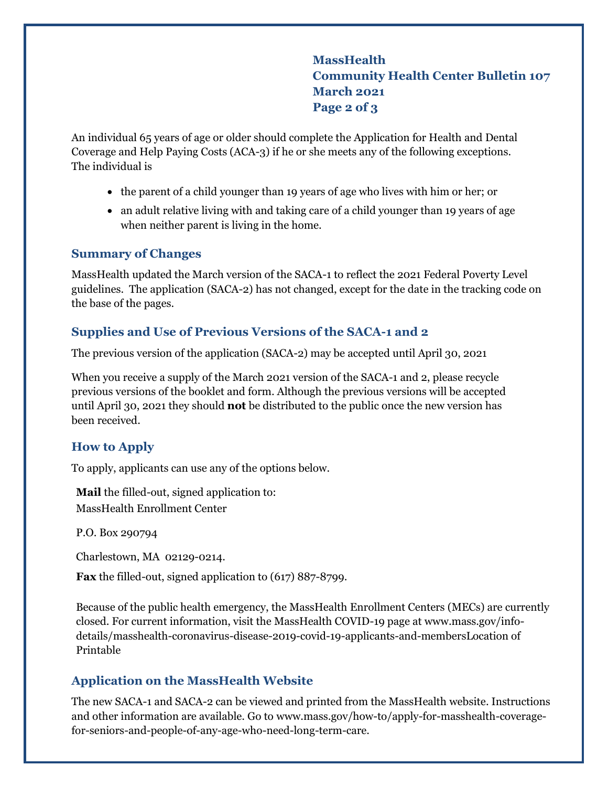**MassHealth Community Health Center Bulletin 107 March 2021 Page 2 of 3**

An individual 65 years of age or older should complete the Application for Health and Dental Coverage and Help Paying Costs (ACA-3) if he or she meets any of the following exceptions. The individual is

- the parent of a child younger than 19 years of age who lives with him or her; or
- an adult relative living with and taking care of a child younger than 19 years of age when neither parent is living in the home.

#### **Summary of Changes**

MassHealth updated the March version of the SACA-1 to reflect the 2021 Federal Poverty Level guidelines. The application (SACA-2) has not changed, except for the date in the tracking code on the base of the pages.

## **Supplies and Use of Previous Versions of the SACA-1 and 2**

The previous version of the application (SACA-2) may be accepted until April 30, 2021

When you receive a supply of the March 2021 version of the SACA-1 and 2, please recycle previous versions of the booklet and form. Although the previous versions will be accepted until April 30, 2021 they should **not** be distributed to the public once the new version has been received.

## **How to Apply**

To apply, applicants can use any of the options below.

**Mail** the filled-out, signed application to: MassHealth Enrollment Center

P.O. Box 290794

Charlestown, MA 02129-0214.

**Fax** the filled-out, signed application to (617) 887-8799.

Because of the public health emergency, the MassHealth Enrollment Centers (MECs) are currently closed. For current information, visit the MassHealth COVID-19 page at [www.mass.gov/info](http://www.mass.gov/info-details/masshealth-coronavirus-disease-2019-covid-19-applicants-and-members)[details/masshealth-coronavirus-disease-2019-covid-19-applicants-and-membersL](http://www.mass.gov/info-details/masshealth-coronavirus-disease-2019-covid-19-applicants-and-members)ocation of Printable

#### **Application on the MassHealth Website**

The new SACA-1 and SACA-2 can be viewed and printed from the MassHealth website. Instructions and other information are available. Go to [www.mass.gov/how-to/apply-for-masshealth-coverage](https://www.mass.gov/how-to/apply-for-masshealth-coverage-for-seniors-and-people-of-any-age-who-need-long-term-care)[for-seniors-and-people-of-any-age-who-need-long-term-care.](https://www.mass.gov/how-to/apply-for-masshealth-coverage-for-seniors-and-people-of-any-age-who-need-long-term-care)